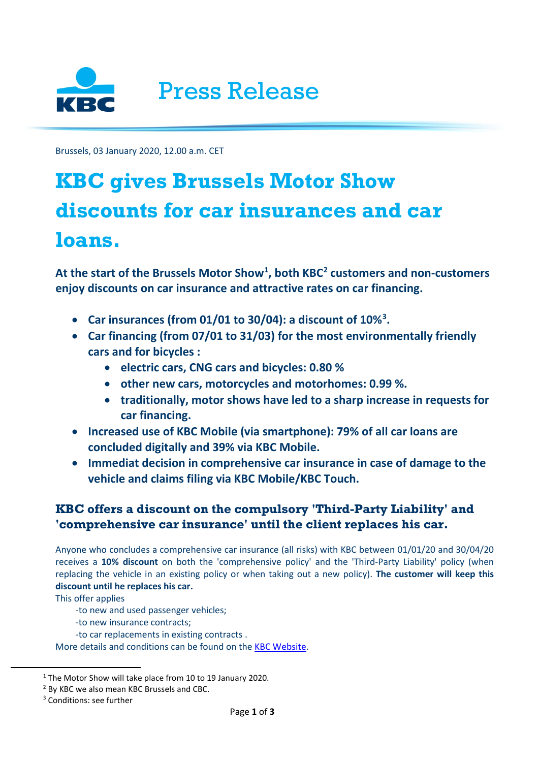

Brussels, 03 January 2020, 12.00 a.m. CET

# **KBC gives Brussels Motor Show discounts for car insurances and car loans.**

**At the start of the Brussels Motor Show[1](#page-0-0) , both KB[C2](#page-0-1) customers and non-customers enjoy discounts on car insurance and attractive rates on car financing.**

- **Car insurances (from 01/01 to 30/04): a discount of 10%[3](#page-0-2) .**
- **Car financing (from 07/01 to 31/03) for the most environmentally friendly cars and for bicycles :**
	- **electric cars, CNG cars and bicycles: 0.80 %**
	- **other new cars, motorcycles and motorhomes: 0.99 %.**
	- **traditionally, motor shows have led to a sharp increase in requests for car financing.**
- **Increased use of KBC Mobile (via smartphone): 79% of all car loans are concluded digitally and 39% via KBC Mobile.**
- **Immediat decision in comprehensive car insurance in case of damage to the vehicle and claims filing via KBC Mobile/KBC Touch.**

# **KBC offers a discount on the compulsory 'Third-Party Liability' and 'comprehensive car insurance' until the client replaces his car.**

Anyone who concludes a comprehensive car insurance (all risks) with KBC between 01/01/20 and 30/04/20 receives a **10% discount** on both the 'comprehensive policy' and the 'Third-Party Liability' policy (when replacing the vehicle in an existing policy or when taking out a new policy). **The customer will keep this discount until he replaces his car.**

This offer applies

- -to new and used passenger vehicles;
- -to new insurance contracts;
- -to car replacements in existing contracts .

More details and conditions can be found on the [KBC Website.](https://www.kbc.be/retail/en/products/insurance/vehicle/comprehensive-car-insurance.html?zone=topnav)

<span id="page-0-0"></span><sup>&</sup>lt;sup>1</sup> The Motor Show will take place from 10 to 19 January 2020.

<span id="page-0-1"></span><sup>2</sup> By KBC we also mean KBC Brussels and CBC.

<span id="page-0-2"></span><sup>&</sup>lt;sup>3</sup> Conditions: see further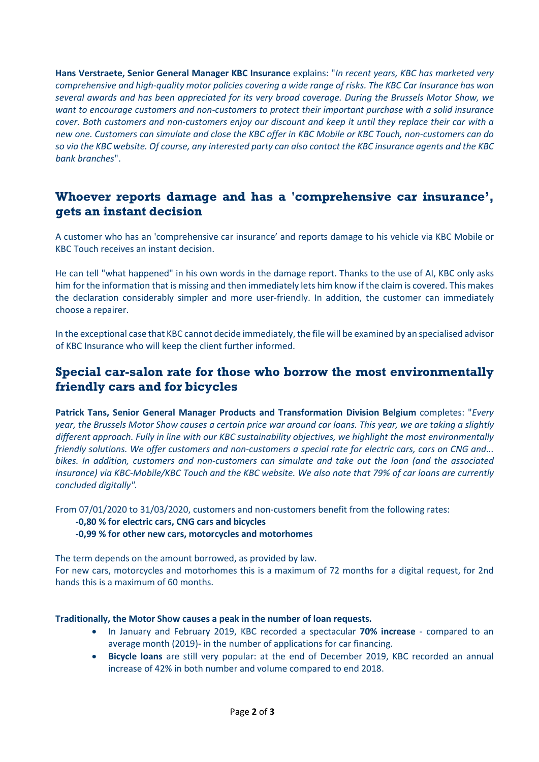**Hans Verstraete, Senior General Manager KBC Insurance** explains: "*In recent years, KBC has marketed very comprehensive and high-quality motor policies covering a wide range of risks. The KBC Car Insurance has won several awards and has been appreciated for its very broad coverage. During the Brussels Motor Show, we want to encourage customers and non-customers to protect their important purchase with a solid insurance cover. Both customers and non-customers enjoy our discount and keep it until they replace their car with a new one. Customers can simulate and close the KBC offer in KBC Mobile or KBC Touch, non-customers can do so via the KBC website. Of course, any interested party can also contact the KBC insurance agents and the KBC bank branches*".

## **Whoever reports damage and has a 'comprehensive car insurance', gets an instant decision**

A customer who has an 'comprehensive car insurance' and reports damage to his vehicle via KBC Mobile or KBC Touch receives an instant decision.

He can tell "what happened" in his own words in the damage report. Thanks to the use of AI, KBC only asks him for the information that is missing and then immediately lets him know if the claim is covered. This makes the declaration considerably simpler and more user-friendly. In addition, the customer can immediately choose a repairer.

In the exceptional case that KBC cannot decide immediately, the file will be examined by an specialised advisor of KBC Insurance who will keep the client further informed.

## **Special car-salon rate for those who borrow the most environmentally friendly cars and for bicycles**

**Patrick Tans, Senior General Manager Products and Transformation Division Belgium** completes: "*Every year, the Brussels Motor Show causes a certain price war around car loans. This year, we are taking a slightly different approach. Fully in line with our KBC sustainability objectives, we highlight the most environmentally friendly solutions. We offer customers and non-customers a special rate for electric cars, cars on CNG and... bikes. In addition, customers and non-customers can simulate and take out the loan (and the associated insurance) via KBC-Mobile/KBC Touch and the KBC website. We also note that 79% of car loans are currently concluded digitally".*

From 07/01/2020 to 31/03/2020, customers and non-customers benefit from the following rates:

## **-0,80 % for electric cars, CNG cars and bicycles**

## **-0,99 % for other new cars, motorcycles and motorhomes**

The term depends on the amount borrowed, as provided by law.

For new cars, motorcycles and motorhomes this is a maximum of 72 months for a digital request, for 2nd hands this is a maximum of 60 months.

## **Traditionally, the Motor Show causes a peak in the number of loan requests.**

- In January and February 2019, KBC recorded a spectacular **70% increase** compared to an average month (2019)- in the number of applications for car financing.
- **Bicycle loans** are still very popular: at the end of December 2019, KBC recorded an annual increase of 42% in both number and volume compared to end 2018.